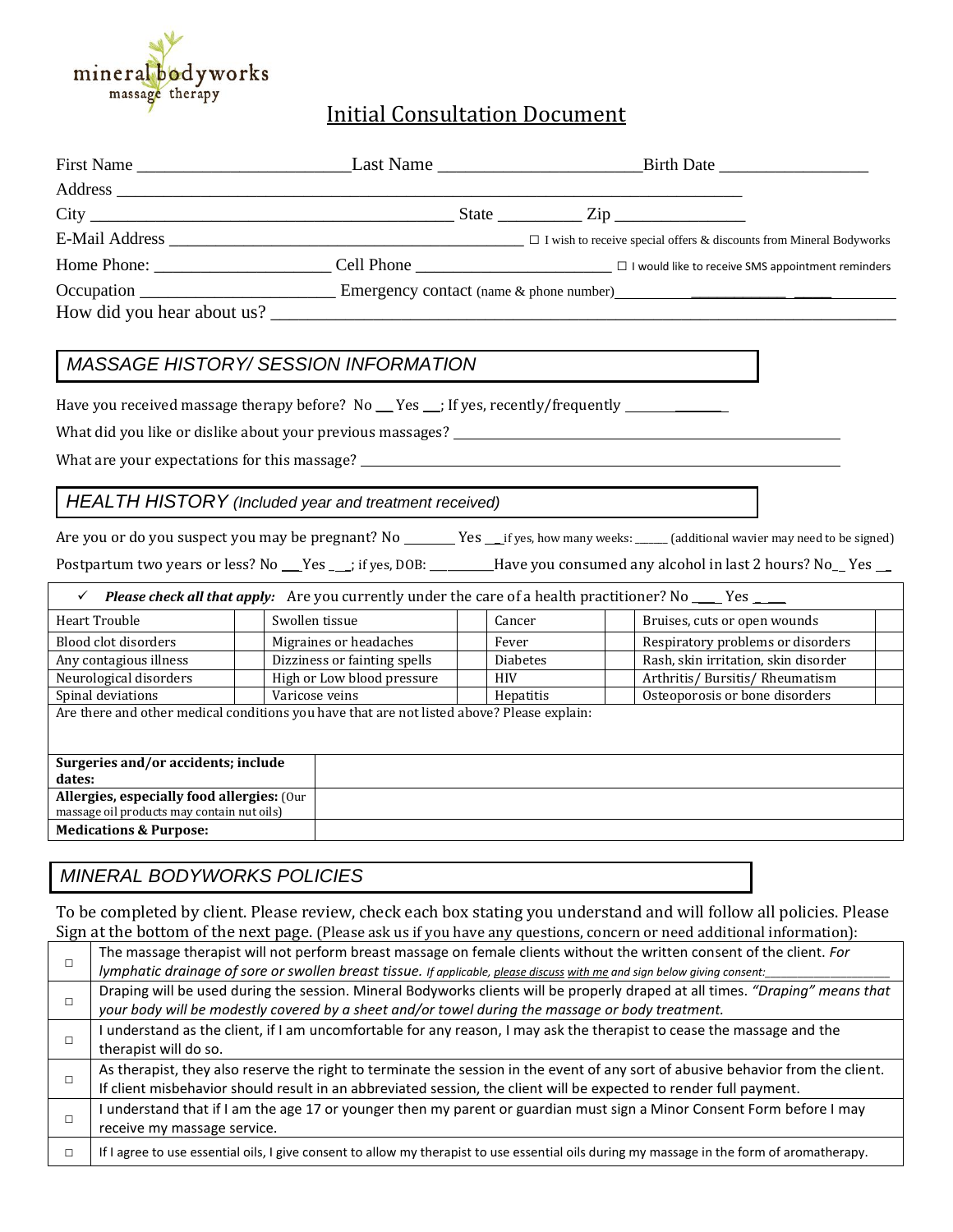

# Initial Consultation Document

|  |  | $\Box$ I wish to receive special offers & discounts from Mineral Bodyworks                   |
|--|--|----------------------------------------------------------------------------------------------|
|  |  | Cell Phone _____________________________ □ I would like to receive SMS appointment reminders |
|  |  |                                                                                              |
|  |  |                                                                                              |

### *MASSAGE HISTORY/ SESSION INFORMATION*

Have you received massage therapy before? No \_\_ Yes \_\_; If yes, recently/frequently \_\_\_\_\_\_\_\_\_\_\_\_\_\_\_

What did you like or dislike about your previous massages? \_\_\_\_\_\_\_\_\_\_\_\_\_\_\_\_\_\_\_\_\_\_

What are your expectations for this massage? \_\_\_\_\_\_\_\_\_\_\_\_\_\_\_\_\_\_\_\_\_\_\_\_\_\_\_\_\_\_\_\_\_\_\_

#### *HEALTH HISTORY (Included year and treatment received)*

Are you or do you suspect you may be pregnant? No \_\_\_\_\_\_\_Yes \_\_\_if yes, how many weeks: \_\_\_\_\_ (additional wavier may need to be signed)

Postpartum two years or less? No \_\_\_Yes \_\_\_; if yes, DOB: \_\_\_\_\_\_\_\_Have you consumed any alcohol in last 2 hours? No\_\_Yes \_\_

| <b>Please check all that apply:</b> Are you currently under the care of a health practitioner? No ______ Yes _____ |                |                              |                 |                                      |  |  |  |  |
|--------------------------------------------------------------------------------------------------------------------|----------------|------------------------------|-----------------|--------------------------------------|--|--|--|--|
| Heart Trouble                                                                                                      | Swollen tissue |                              | Cancer          | Bruises, cuts or open wounds         |  |  |  |  |
| Blood clot disorders                                                                                               |                | Migraines or headaches       | Fever           | Respiratory problems or disorders    |  |  |  |  |
| Any contagious illness                                                                                             |                | Dizziness or fainting spells | <b>Diabetes</b> | Rash, skin irritation, skin disorder |  |  |  |  |
| Neurological disorders                                                                                             |                | High or Low blood pressure   | <b>HIV</b>      | Arthritis/Bursitis/Rheumatism        |  |  |  |  |
| Spinal deviations                                                                                                  | Varicose veins |                              | Hepatitis       | Osteoporosis or bone disorders       |  |  |  |  |
| Are there and other medical conditions you have that are not listed above? Please explain:                         |                |                              |                 |                                      |  |  |  |  |
| Surgeries and/or accidents; include                                                                                |                |                              |                 |                                      |  |  |  |  |
| dates:                                                                                                             |                |                              |                 |                                      |  |  |  |  |
| Allergies, especially food allergies: (Our<br>massage oil products may contain nut oils)                           |                |                              |                 |                                      |  |  |  |  |
| <b>Medications &amp; Purpose:</b>                                                                                  |                |                              |                 |                                      |  |  |  |  |

### *MINERAL BODYWORKS POLICIES*

To be completed by client. Please review, check each box stating you understand and will follow all policies. Please Sign at the bottom of the next page. (Please ask us if you have any questions, concern or need additional information):

|  | <u>oigh at the bottom of the hent page</u> (I lease ash as if you have any questions) concern of heed auditional miormation <sub>)</sub> .  |
|--|---------------------------------------------------------------------------------------------------------------------------------------------|
|  | The massage therapist will not perform breast massage on female clients without the written consent of the client. For                      |
|  | lymphatic drainage of sore or swollen breast tissue. If applicable, please discuss with me and sign below giving consent:                   |
|  | Draping will be used during the session. Mineral Bodyworks clients will be properly draped at all times. "Draping" means that               |
|  | your body will be modestly covered by a sheet and/or towel during the massage or body treatment.                                            |
|  | understand as the client, if I am uncomfortable for any reason, I may ask the therapist to cease the massage and the                        |
|  | therapist will do so.                                                                                                                       |
|  | As therapist, they also reserve the right to terminate the session in the event of any sort of abusive behavior from the client.            |
|  | If client misbehavior should result in an abbreviated session, the client will be expected to render full payment.                          |
|  | understand that if I am the age 17 or younger then my parent or guardian must sign a Minor Consent Form before I may                        |
|  | receive my massage service.                                                                                                                 |
|  | If I agree to use essential oils, I give consent to allow my therapist to use essential oils during my massage in the form of aromatherapy. |